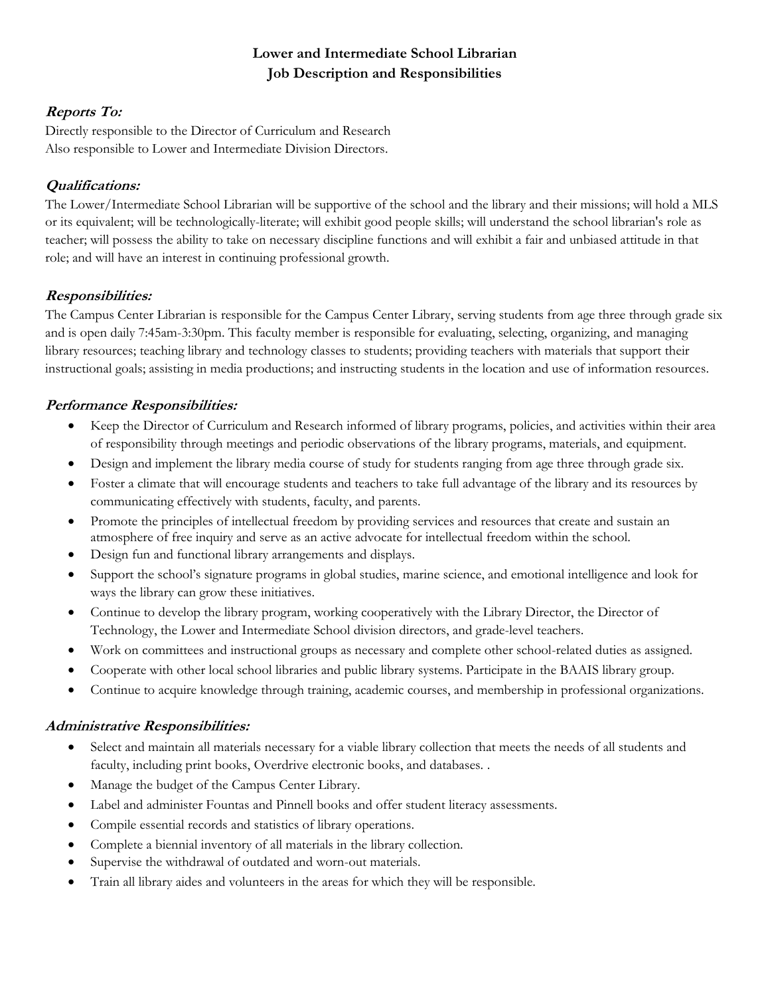# **Lower and Intermediate School Librarian Job Description and Responsibilities**

## **Reports To:**

Directly responsible to the Director of Curriculum and Research Also responsible to Lower and Intermediate Division Directors.

# **Qualifications:**

The Lower/Intermediate School Librarian will be supportive of the school and the library and their missions; will hold a MLS or its equivalent; will be technologically-literate; will exhibit good people skills; will understand the school librarian's role as teacher; will possess the ability to take on necessary discipline functions and will exhibit a fair and unbiased attitude in that role; and will have an interest in continuing professional growth.

### **Responsibilities:**

The Campus Center Librarian is responsible for the Campus Center Library, serving students from age three through grade six and is open daily 7:45am-3:30pm. This faculty member is responsible for evaluating, selecting, organizing, and managing library resources; teaching library and technology classes to students; providing teachers with materials that support their instructional goals; assisting in media productions; and instructing students in the location and use of information resources.

## **Performance Responsibilities:**

- Keep the Director of Curriculum and Research informed of library programs, policies, and activities within their area of responsibility through meetings and periodic observations of the library programs, materials, and equipment.
- Design and implement the library media course of study for students ranging from age three through grade six.
- Foster a climate that will encourage students and teachers to take full advantage of the library and its resources by communicating effectively with students, faculty, and parents.
- Promote the principles of intellectual freedom by providing services and resources that create and sustain an atmosphere of free inquiry and serve as an active advocate for intellectual freedom within the school.
- Design fun and functional library arrangements and displays.
- Support the school's signature programs in global studies, marine science, and emotional intelligence and look for ways the library can grow these initiatives.
- Continue to develop the library program, working cooperatively with the Library Director, the Director of Technology, the Lower and Intermediate School division directors, and grade-level teachers.
- Work on committees and instructional groups as necessary and complete other school-related duties as assigned.
- Cooperate with other local school libraries and public library systems. Participate in the BAAIS library group.
- Continue to acquire knowledge through training, academic courses, and membership in professional organizations.

### **Administrative Responsibilities:**

- Select and maintain all materials necessary for a viable library collection that meets the needs of all students and faculty, including print books, Overdrive electronic books, and databases. .
- Manage the budget of the Campus Center Library.
- Label and administer Fountas and Pinnell books and offer student literacy assessments.
- Compile essential records and statistics of library operations.
- Complete a biennial inventory of all materials in the library collection.
- Supervise the withdrawal of outdated and worn-out materials.
- Train all library aides and volunteers in the areas for which they will be responsible.